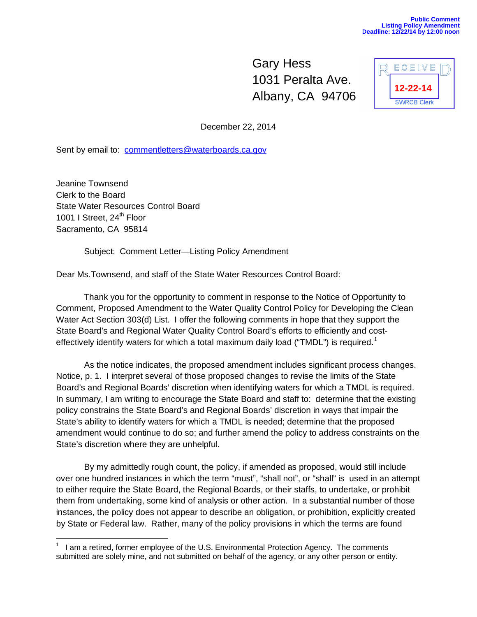Gary Hess 1031 Peralta Ave. Albany, CA 94706



December 22, 2014

Sent by email to: [commentletters@waterboards.ca.gov](mailto:commentletters@waterboards.ca.gov)

Jeanine Townsend Clerk to the Board State Water Resources Control Board 1001 I Street, 24<sup>th</sup> Floor Sacramento, CA 95814

Subject: Comment Letter—Listing Policy Amendment

Dear Ms.Townsend, and staff of the State Water Resources Control Board:

Thank you for the opportunity to comment in response to the Notice of Opportunity to Comment, Proposed Amendment to the Water Quality Control Policy for Developing the Clean Water Act Section 303(d) List. I offer the following comments in hope that they support the State Board's and Regional Water Quality Control Board's efforts to efficiently and cost-effectively identify waters for which a total maximum daily load ("TMDL") is required.<sup>[1](#page-0-0)</sup>

As the notice indicates, the proposed amendment includes significant process changes. Notice, p. 1. I interpret several of those proposed changes to revise the limits of the State Board's and Regional Boards' discretion when identifying waters for which a TMDL is required. In summary, I am writing to encourage the State Board and staff to: determine that the existing policy constrains the State Board's and Regional Boards' discretion in ways that impair the State's ability to identify waters for which a TMDL is needed; determine that the proposed amendment would continue to do so; and further amend the policy to address constraints on the State's discretion where they are unhelpful.

By my admittedly rough count, the policy, if amended as proposed, would still include over one hundred instances in which the term "must", "shall not", or "shall" is used in an attempt to either require the State Board, the Regional Boards, or their staffs, to undertake, or prohibit them from undertaking, some kind of analysis or other action. In a substantial number of those instances, the policy does not appear to describe an obligation, or prohibition, explicitly created by State or Federal law. Rather, many of the policy provisions in which the terms are found

<span id="page-0-0"></span><sup>|&</sup>lt;br>1 I am a retired, former employee of the U.S. Environmental Protection Agency. The comments submitted are solely mine, and not submitted on behalf of the agency, or any other person or entity.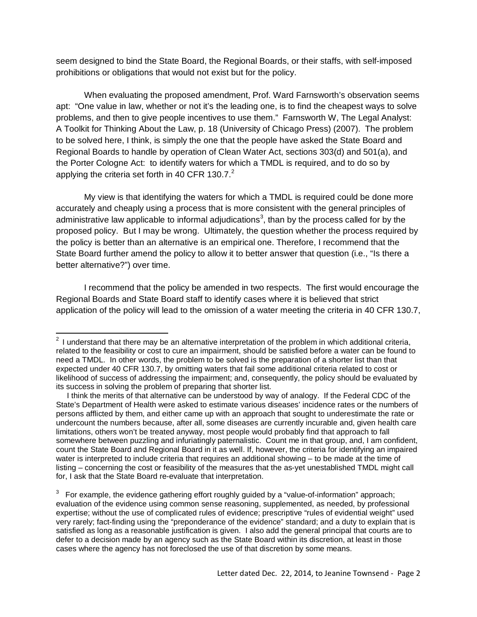seem designed to bind the State Board, the Regional Boards, or their staffs, with self-imposed prohibitions or obligations that would not exist but for the policy.

When evaluating the proposed amendment, Prof. Ward Farnsworth's observation seems apt: "One value in law, whether or not it's the leading one, is to find the cheapest ways to solve problems, and then to give people incentives to use them." Farnsworth W, The Legal Analyst: A Toolkit for Thinking About the Law, p. 18 (University of Chicago Press) (2007). The problem to be solved here, I think, is simply the one that the people have asked the State Board and Regional Boards to handle by operation of Clean Water Act, sections 303(d) and 501(a), and the Porter Cologne Act: to identify waters for which a TMDL is required, and to do so by applying the criteria set forth in 40 CFR 130.7. $2$ 

My view is that identifying the waters for which a TMDL is required could be done more accurately and cheaply using a process that is more consistent with the general principles of administrative law applicable to informal adjudications<sup>[3](#page-1-1)</sup>, than by the process called for by the proposed policy. But I may be wrong. Ultimately, the question whether the process required by the policy is better than an alternative is an empirical one. Therefore, I recommend that the State Board further amend the policy to allow it to better answer that question (i.e., "Is there a better alternative?") over time.

I recommend that the policy be amended in two respects. The first would encourage the Regional Boards and State Board staff to identify cases where it is believed that strict application of the policy will lead to the omission of a water meeting the criteria in 40 CFR 130.7,

<span id="page-1-0"></span> $2$  I understand that there may be an alternative interpretation of the problem in which additional criteria, related to the feasibility or cost to cure an impairment, should be satisfied before a water can be found to need a TMDL. In other words, the problem to be solved is the preparation of a shorter list than that expected under 40 CFR 130.7, by omitting waters that fail some additional criteria related to cost or likelihood of success of addressing the impairment; and, consequently, the policy should be evaluated by its success in solving the problem of preparing that shorter list.

I think the merits of that alternative can be understood by way of analogy. If the Federal CDC of the State's Department of Health were asked to estimate various diseases' incidence rates or the numbers of persons afflicted by them, and either came up with an approach that sought to underestimate the rate or undercount the numbers because, after all, some diseases are currently incurable and, given health care limitations, others won't be treated anyway, most people would probably find that approach to fall somewhere between puzzling and infuriatingly paternalistic. Count me in that group, and, I am confident, count the State Board and Regional Board in it as well. If, however, the criteria for identifying an impaired water is interpreted to include criteria that requires an additional showing – to be made at the time of listing – concerning the cost or feasibility of the measures that the as-yet unestablished TMDL might call for, I ask that the State Board re-evaluate that interpretation.

<span id="page-1-1"></span> $3$  For example, the evidence gathering effort roughly guided by a "value-of-information" approach; evaluation of the evidence using common sense reasoning, supplemented, as needed, by professional expertise; without the use of complicated rules of evidence; prescriptive "rules of evidential weight" used very rarely; fact-finding using the "preponderance of the evidence" standard; and a duty to explain that is satisfied as long as a reasonable justification is given. I also add the general principal that courts are to defer to a decision made by an agency such as the State Board within its discretion, at least in those cases where the agency has not foreclosed the use of that discretion by some means.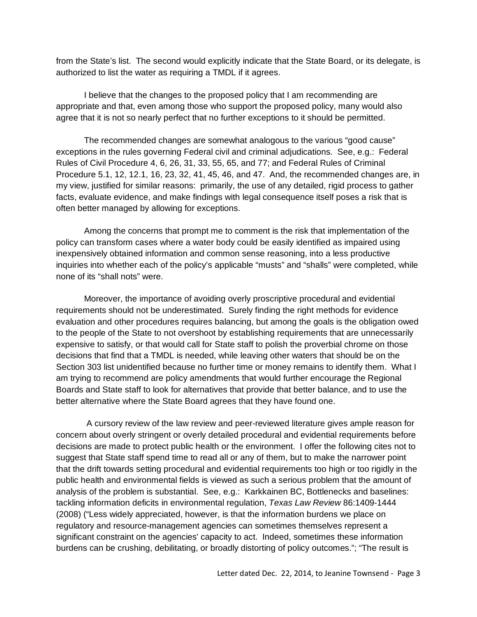from the State's list. The second would explicitly indicate that the State Board, or its delegate, is authorized to list the water as requiring a TMDL if it agrees.

I believe that the changes to the proposed policy that I am recommending are appropriate and that, even among those who support the proposed policy, many would also agree that it is not so nearly perfect that no further exceptions to it should be permitted.

The recommended changes are somewhat analogous to the various "good cause" exceptions in the rules governing Federal civil and criminal adjudications. See, e.g.: Federal Rules of Civil Procedure 4, 6, 26, 31, 33, 55, 65, and 77; and Federal Rules of Criminal Procedure 5.1, 12, 12.1, 16, 23, 32, 41, 45, 46, and 47. And, the recommended changes are, in my view, justified for similar reasons: primarily, the use of any detailed, rigid process to gather facts, evaluate evidence, and make findings with legal consequence itself poses a risk that is often better managed by allowing for exceptions.

Among the concerns that prompt me to comment is the risk that implementation of the policy can transform cases where a water body could be easily identified as impaired using inexpensively obtained information and common sense reasoning, into a less productive inquiries into whether each of the policy's applicable "musts" and "shalls" were completed, while none of its "shall nots" were.

Moreover, the importance of avoiding overly proscriptive procedural and evidential requirements should not be underestimated. Surely finding the right methods for evidence evaluation and other procedures requires balancing, but among the goals is the obligation owed to the people of the State to not overshoot by establishing requirements that are unnecessarily expensive to satisfy, or that would call for State staff to polish the proverbial chrome on those decisions that find that a TMDL is needed, while leaving other waters that should be on the Section 303 list unidentified because no further time or money remains to identify them. What I am trying to recommend are policy amendments that would further encourage the Regional Boards and State staff to look for alternatives that provide that better balance, and to use the better alternative where the State Board agrees that they have found one.

A cursory review of the law review and peer-reviewed literature gives ample reason for concern about overly stringent or overly detailed procedural and evidential requirements before decisions are made to protect public health or the environment. I offer the following cites not to suggest that State staff spend time to read all or any of them, but to make the narrower point that the drift towards setting procedural and evidential requirements too high or too rigidly in the public health and environmental fields is viewed as such a serious problem that the amount of analysis of the problem is substantial. See, e.g.: Karkkainen BC, Bottlenecks and baselines: tackling information deficits in environmental regulation, *Texas Law Review* 86:1409-1444 (2008) ("Less widely appreciated, however, is that the information burdens we place on regulatory and resource-management agencies can sometimes themselves represent a significant constraint on the agencies' capacity to act. Indeed, sometimes these information burdens can be crushing, debilitating, or broadly distorting of policy outcomes."; "The result is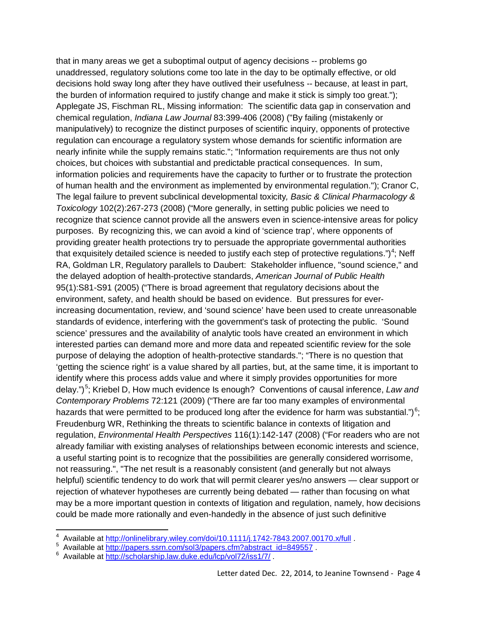that in many areas we get a suboptimal output of agency decisions -- problems go unaddressed, regulatory solutions come too late in the day to be optimally effective, or old decisions hold sway long after they have outlived their usefulness -- because, at least in part, the burden of information required to justify change and make it stick is simply too great."); Applegate JS, Fischman RL, Missing information: The scientific data gap in conservation and chemical regulation, *Indiana Law Journal* 83:399-406 (2008) ("By failing (mistakenly or manipulatively) to recognize the distinct purposes of scientific inquiry, opponents of protective regulation can encourage a regulatory system whose demands for scientific information are nearly infinite while the supply remains static."; "Information requirements are thus not only choices, but choices with substantial and predictable practical consequences. In sum, information policies and requirements have the capacity to further or to frustrate the protection of human health and the environment as implemented by environmental regulation."); Cranor C, The legal failure to prevent subclinical developmental toxicity*, Basic & Clinical Pharmacology & Toxicology* 102(2):267-273 (2008) ("More generally, in setting public policies we need to recognize that science cannot provide all the answers even in science-intensive areas for policy purposes. By recognizing this, we can avoid a kind of 'science trap', where opponents of providing greater health protections try to persuade the appropriate governmental authorities that exquisitely detailed science is needed to justify each step of protective regulations.")<sup>[4](#page-3-0)</sup>; Neff RA, Goldman LR, Regulatory parallels to Daubert: Stakeholder influence, "sound science," and the delayed adoption of health-protective standards, *American Journal of Public Health* 95(1):S81-S91 (2005) ("There is broad agreement that regulatory decisions about the environment, safety, and health should be based on evidence. But pressures for everincreasing documentation, review, and 'sound science' have been used to create unreasonable standards of evidence, interfering with the government's task of protecting the public. 'Sound science' pressures and the availability of analytic tools have created an environment in which interested parties can demand more and more data and repeated scientific review for the sole purpose of delaying the adoption of health-protective standards."; "There is no question that 'getting the science right' is a value shared by all parties, but, at the same time, it is important to identify where this process adds value and where it simply provides opportunities for more delay.")<sup>[5](#page-3-1)</sup>; Kriebel D, How much evidence Is enough? Conventions of causal inference, Law and *Contemporary Problems* 72:121 (2009) ("There are far too many examples of environmental hazards that were permitted to be produced long after the evidence for harm was substantial.")<sup>[6](#page-3-2)</sup>; Freudenburg WR, Rethinking the threats to scientific balance in contexts of litigation and regulation, *Environmental Health Perspectives* 116(1):142-147 (2008) ("For readers who are not already familiar with existing analyses of relationships between economic interests and science, a useful starting point is to recognize that the possibilities are generally considered worrisome, not reassuring.", "The net result is a reasonably consistent (and generally but not always helpful) scientific tendency to do work that will permit clearer yes/no answers — clear support or rejection of whatever hypotheses are currently being debated — rather than focusing on what may be a more important question in contexts of litigation and regulation, namely, how decisions could be made more rationally and even-handedly in the absence of just such definitive

<sup>4</sup> Available at http://onlinelibrary.wiley.com/doi/10.1111/j.1742-7843.2007.00170.x/full

<span id="page-3-1"></span><span id="page-3-0"></span>Available at [http://papers.ssrn.com/sol3/papers.cfm?abstract\\_id=849557](http://papers.ssrn.com/sol3/papers.cfm?abstract_id=849557) .

<span id="page-3-2"></span>Available at<http://scholarship.law.duke.edu/lcp/vol72/iss1/7/> .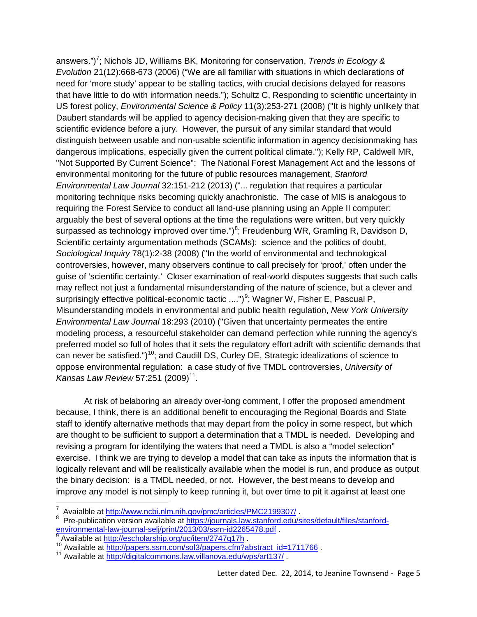answers.") [7](#page-4-0) ; Nichols JD, Williams BK, Monitoring for conservation, *Trends in Ecology & Evolution* 21(12):668-673 (2006) ("We are all familiar with situations in which declarations of need for 'more study' appear to be stalling tactics, with crucial decisions delayed for reasons that have little to do with information needs."); Schultz C, Responding to scientific uncertainty in US forest policy, *Environmental Science & Policy* 11(3):253-271 (2008) ("It is highly unlikely that Daubert standards will be applied to agency decision-making given that they are specific to scientific evidence before a jury. However, the pursuit of any similar standard that would distinguish between usable and non-usable scientific information in agency decisionmaking has dangerous implications, especially given the current political climate."); Kelly RP, Caldwell MR, "Not Supported By Current Science": The National Forest Management Act and the lessons of environmental monitoring for the future of public resources management, *Stanford Environmental Law Journal* 32:151-212 (2013) ("... regulation that requires a particular monitoring technique risks becoming quickly anachronistic. The case of MIS is analogous to requiring the Forest Service to conduct all land-use planning using an Apple II computer: arguably the best of several options at the time the regulations were written, but very quickly surpassed as technology improved over time.")<sup>[8](#page-4-1)</sup>; Freudenburg WR, Gramling R, Davidson D, Scientific certainty argumentation methods (SCAMs): science and the politics of doubt, *Sociological Inquiry* 78(1):2-38 (2008) ("In the world of environmental and technological controversies, however, many observers continue to call precisely for 'proof,' often under the guise of 'scientific certainty.' Closer examination of real-world disputes suggests that such calls may reflect not just a fundamental misunderstanding of the nature of science, but a clever and surprisingly effective political-economic tactic ....")<sup>[9](#page-4-2)</sup>; Wagner W, Fisher E, Pascual P, Misunderstanding models in environmental and public health regulation, *New York University Environmental Law Journal* 18:293 (2010) ("Given that uncertainty permeates the entire modeling process, a resourceful stakeholder can demand perfection while running the agency's preferred model so full of holes that it sets the regulatory effort adrift with scientific demands that can never be satisfied.")<sup>10</sup>; and Caudill DS, Curley DE, Strategic idealizations of science to oppose environmental regulation: a case study of five TMDL controversies, *University of Kansas Law Review* 57:251 (2009)<sup>11</sup>.

At risk of belaboring an already over-long comment, I offer the proposed amendment because, I think, there is an additional benefit to encouraging the Regional Boards and State staff to identify alternative methods that may depart from the policy in some respect, but which are thought to be sufficient to support a determination that a TMDL is needed. Developing and revising a program for identifying the waters that need a TMDL is also a "model selection" exercise. I think we are trying to develop a model that can take as inputs the information that is logically relevant and will be realistically available when the model is run, and produce as output the binary decision: is a TMDL needed, or not. However, the best means to develop and improve any model is not simply to keep running it, but over time to pit it against at least one

<sup>-&</sup>lt;br>7 relatival at<http://www.ncbi.nlm.nih.gov/pmc/articles/PMC2199307/><br><sup>8</sup> . Pre publication version available at https://journals.law.stanford.odu/c

<span id="page-4-1"></span><span id="page-4-0"></span><sup>&</sup>lt;sup>8</sup> Pre-publication version available at https://journals.law.stanford.edu/sites/default/files/stanford-<br>environmental-law-journal-selj/print/2013/03/ssrn-id2265478.pdf<br>9 Available at http://www.

<span id="page-4-3"></span><span id="page-4-2"></span><sup>&</sup>lt;sup>9</sup> Available at<http://escholarship.org/uc/item/2747q17h><br><sup>10</sup> Available at [http://papers.ssrn.com/sol3/papers.cfm?abstract\\_id=1711766](http://papers.ssrn.com/sol3/papers.cfm?abstract_id=1711766).<br><sup>11</sup> Available at <u>http://digitalcommons.law.villanova.edu/wps/art137/</u>

<span id="page-4-4"></span>